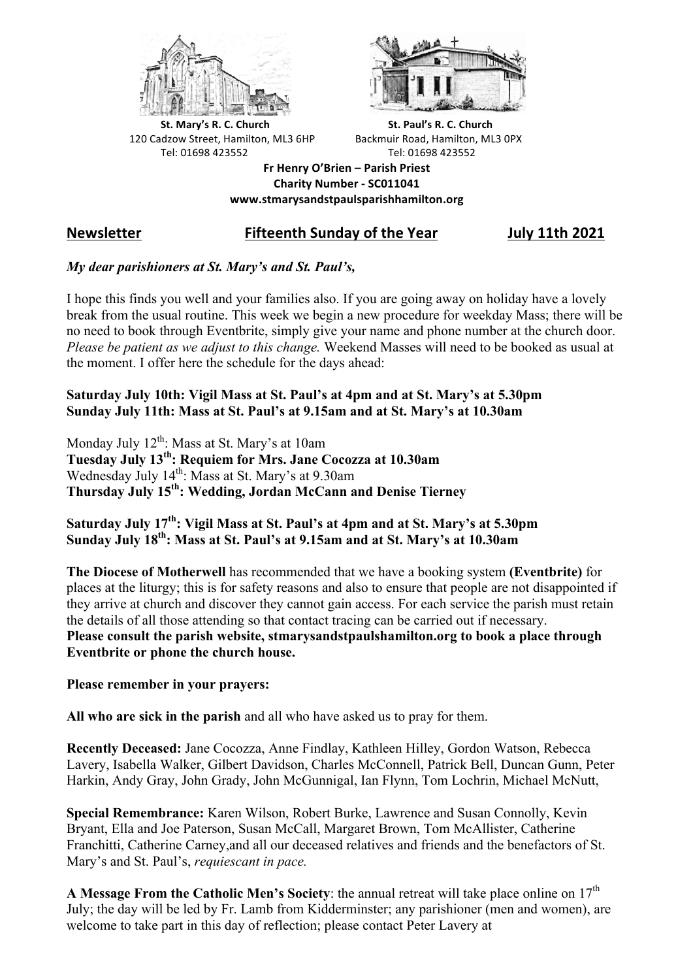



**St.** Mary's R. C. Church St. Paul's R. C. Church 120 Cadzow Street, Hamilton, ML3 6HP Backmuir Road, Hamilton, ML3 0PX Tel: 01698 423552 Tel: 01698 423552

**Fr Henry O'Brien – Parish Priest Charity Number - SC011041 www.stmarysandstpaulsparishhamilton.org**

# **Newsletter Fifteenth Sunday of the Year July 11th 2021**

### *My dear parishioners at St. Mary's and St. Paul's,*

I hope this finds you well and your families also. If you are going away on holiday have a lovely break from the usual routine. This week we begin a new procedure for weekday Mass; there will be no need to book through Eventbrite, simply give your name and phone number at the church door. *Please be patient as we adjust to this change.* Weekend Masses will need to be booked as usual at the moment. I offer here the schedule for the days ahead:

#### **Saturday July 10th: Vigil Mass at St. Paul's at 4pm and at St. Mary's at 5.30pm Sunday July 11th: Mass at St. Paul's at 9.15am and at St. Mary's at 10.30am**

Monday July  $12<sup>th</sup>$ : Mass at St. Mary's at 10am **Tuesday July 13th: Requiem for Mrs. Jane Cocozza at 10.30am** Wednesday July  $14<sup>th</sup>$ : Mass at St. Mary's at 9.30am **Thursday July 15th: Wedding, Jordan McCann and Denise Tierney**

## **Saturday July 17th: Vigil Mass at St. Paul's at 4pm and at St. Mary's at 5.30pm Sunday July 18th: Mass at St. Paul's at 9.15am and at St. Mary's at 10.30am**

**The Diocese of Motherwell** has recommended that we have a booking system **(Eventbrite)** for places at the liturgy; this is for safety reasons and also to ensure that people are not disappointed if they arrive at church and discover they cannot gain access. For each service the parish must retain the details of all those attending so that contact tracing can be carried out if necessary. **Please consult the parish website, stmarysandstpaulshamilton.org to book a place through Eventbrite or phone the church house.**

**Please remember in your prayers:**

**All who are sick in the parish** and all who have asked us to pray for them.

**Recently Deceased:** Jane Cocozza, Anne Findlay, Kathleen Hilley, Gordon Watson, Rebecca Lavery, Isabella Walker, Gilbert Davidson, Charles McConnell, Patrick Bell, Duncan Gunn, Peter Harkin, Andy Gray, John Grady, John McGunnigal, Ian Flynn, Tom Lochrin, Michael McNutt,

**Special Remembrance:** Karen Wilson, Robert Burke, Lawrence and Susan Connolly, Kevin Bryant, Ella and Joe Paterson, Susan McCall, Margaret Brown, Tom McAllister, Catherine Franchitti, Catherine Carney,and all our deceased relatives and friends and the benefactors of St. Mary's and St. Paul's, *requiescant in pace.* 

A Message From the Catholic Men's Society: the annual retreat will take place online on 17<sup>th</sup> July; the day will be led by Fr. Lamb from Kidderminster; any parishioner (men and women), are welcome to take part in this day of reflection; please contact Peter Lavery at